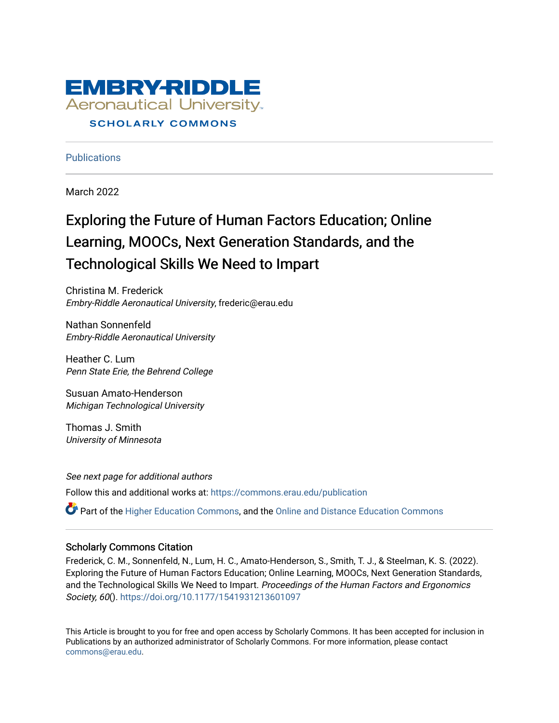

**Publications** 

March 2022

# Exploring the Future of Human Factors Education; Online Learning, MOOCs, Next Generation Standards, and the Technological Skills We Need to Impart

Christina M. Frederick Embry-Riddle Aeronautical University, frederic@erau.edu

Nathan Sonnenfeld Embry-Riddle Aeronautical University

Heather C. Lum Penn State Erie, the Behrend College

Susuan Amato-Henderson Michigan Technological University

Thomas J. Smith University of Minnesota

See next page for additional authors Follow this and additional works at: [https://commons.erau.edu/publication](https://commons.erau.edu/publication?utm_source=commons.erau.edu%2Fpublication%2F1730&utm_medium=PDF&utm_campaign=PDFCoverPages) 

Part of the [Higher Education Commons,](http://network.bepress.com/hgg/discipline/1245?utm_source=commons.erau.edu%2Fpublication%2F1730&utm_medium=PDF&utm_campaign=PDFCoverPages) and the [Online and Distance Education Commons](http://network.bepress.com/hgg/discipline/1296?utm_source=commons.erau.edu%2Fpublication%2F1730&utm_medium=PDF&utm_campaign=PDFCoverPages) 

### Scholarly Commons Citation

Frederick, C. M., Sonnenfeld, N., Lum, H. C., Amato-Henderson, S., Smith, T. J., & Steelman, K. S. (2022). Exploring the Future of Human Factors Education; Online Learning, MOOCs, Next Generation Standards, and the Technological Skills We Need to Impart. Proceedings of the Human Factors and Ergonomics Society, 60(). <https://doi.org/10.1177/1541931213601097>

This Article is brought to you for free and open access by Scholarly Commons. It has been accepted for inclusion in Publications by an authorized administrator of Scholarly Commons. For more information, please contact [commons@erau.edu](mailto:commons@erau.edu).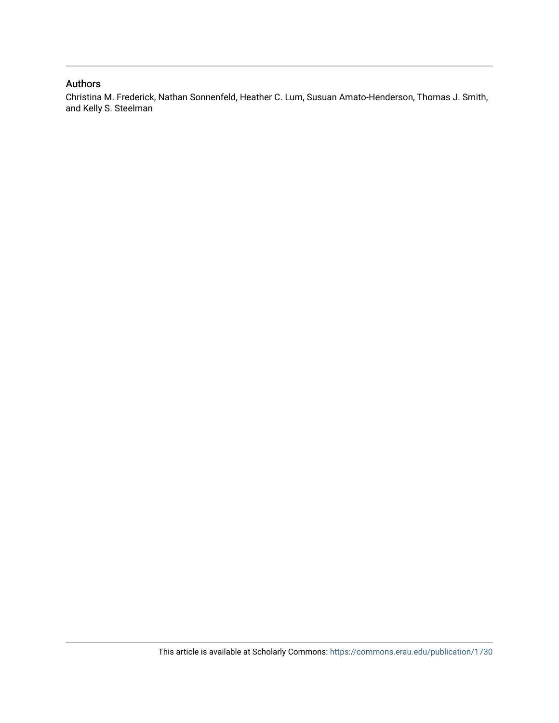# Authors

Christina M. Frederick, Nathan Sonnenfeld, Heather C. Lum, Susuan Amato-Henderson, Thomas J. Smith, and Kelly S. Steelman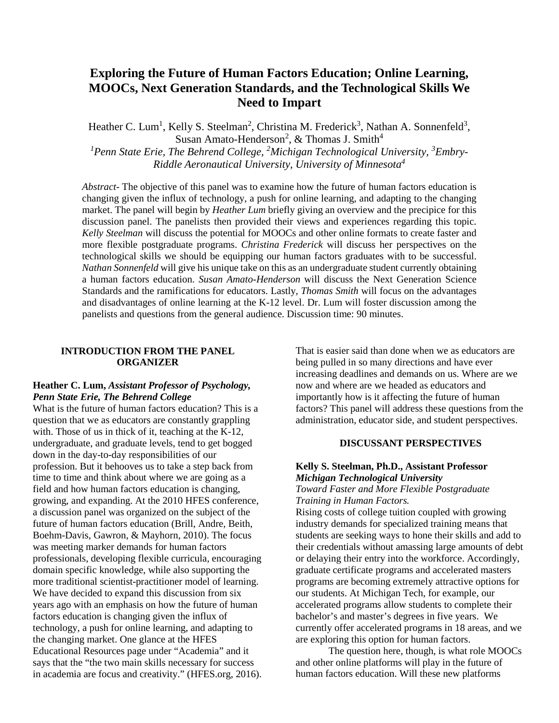# **Exploring the Future of Human Factors Education; Online Learning, MOOCs, Next Generation Standards, and the Technological Skills We Need to Impart**

Heather C. Lum<sup>1</sup>, Kelly S. Steelman<sup>2</sup>, Christina M. Frederick<sup>3</sup>, Nathan A. Sonnenfeld<sup>3</sup>, Susan Amato-Henderson<sup>2</sup>, & Thomas J. Smith<sup>4</sup> *1 Penn State Erie, The Behrend College, <sup>2</sup> Michigan Technological University, <sup>3</sup> Embry-*

*Riddle Aeronautical University, University of Minnesota4*

*Abstract-* The objective of this panel was to examine how the future of human factors education is changing given the influx of technology, a push for online learning, and adapting to the changing market. The panel will begin by *Heather Lum* briefly giving an overview and the precipice for this discussion panel. The panelists then provided their views and experiences regarding this topic. *Kelly Steelman* will discuss the potential for MOOCs and other online formats to create faster and more flexible postgraduate programs. *Christina Frederick* will discuss her perspectives on the technological skills we should be equipping our human factors graduates with to be successful. *Nathan Sonnenfeld* will give his unique take on this as an undergraduate student currently obtaining a human factors education. *Susan Amato-Henderson* will discuss the Next Generation Science Standards and the ramifications for educators. Lastly, *Thomas Smith* will focus on the advantages and disadvantages of online learning at the K-12 level. Dr. Lum will foster discussion among the panelists and questions from the general audience. Discussion time: 90 minutes.

#### **INTRODUCTION FROM THE PANEL ORGANIZER**

#### **Heather C. Lum,** *Assistant Professor of Psychology, Penn State Erie, The Behrend College*

What is the future of human factors education? This is a question that we as educators are constantly grappling with. Those of us in thick of it, teaching at the K-12, undergraduate, and graduate levels, tend to get bogged down in the day-to-day responsibilities of our profession. But it behooves us to take a step back from time to time and think about where we are going as a field and how human factors education is changing, growing, and expanding. At the 2010 HFES conference, a discussion panel was organized on the subject of the future of human factors education (Brill, Andre, Beith, Boehm-Davis, Gawron, & Mayhorn, 2010). The focus was meeting marker demands for human factors professionals, developing flexible curricula, encouraging domain specific knowledge, while also supporting the more traditional scientist-practitioner model of learning. We have decided to expand this discussion from six years ago with an emphasis on how the future of human factors education is changing given the influx of technology, a push for online learning, and adapting to the changing market. One glance at the HFES Educational Resources page under "Academia" and it says that the "the two main skills necessary for success in academia are focus and creativity." (HFES.org, 2016).

That is easier said than done when we as educators are being pulled in so many directions and have ever increasing deadlines and demands on us. Where are we now and where are we headed as educators and importantly how is it affecting the future of human factors? This panel will address these questions from the administration, educator side, and student perspectives.

# **DISCUSSANT PERSPECTIVES**

#### **Kelly S. Steelman, Ph.D., Assistant Professor**  *Michigan Technological University Toward Faster and More Flexible Postgraduate*

*Training in Human Factors.* 

Rising costs of college tuition coupled with growing industry demands for specialized training means that students are seeking ways to hone their skills and add to their credentials without amassing large amounts of debt or delaying their entry into the workforce. Accordingly, graduate certificate programs and accelerated masters programs are becoming extremely attractive options for our students. At Michigan Tech, for example, our accelerated programs allow students to complete their bachelor's and master's degrees in five years. We currently offer accelerated programs in 18 areas, and we are exploring this option for human factors.

The question here, though, is what role MOOCs and other online platforms will play in the future of human factors education. Will these new platforms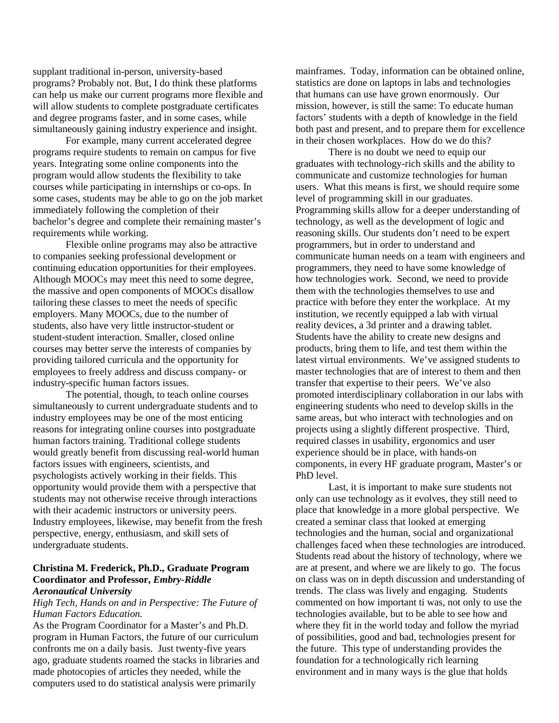supplant traditional in-person, university-based programs? Probably not. But, I do think these platforms can help us make our current programs more flexible and will allow students to complete postgraduate certificates and degree programs faster, and in some cases, while simultaneously gaining industry experience and insight.

For example, many current accelerated degree programs require students to remain on campus for five years. Integrating some online components into the program would allow students the flexibility to take courses while participating in internships or co-ops. In some cases, students may be able to go on the job market immediately following the completion of their bachelor's degree and complete their remaining master's requirements while working.

Flexible online programs may also be attractive to companies seeking professional development or continuing education opportunities for their employees. Although MOOCs may meet this need to some degree, the massive and open components of MOOCs disallow tailoring these classes to meet the needs of specific employers. Many MOOCs, due to the number of students, also have very little instructor-student or student-student interaction. Smaller, closed online courses may better serve the interests of companies by providing tailored curricula and the opportunity for employees to freely address and discuss company- or industry-specific human factors issues.

The potential, though, to teach online courses simultaneously to current undergraduate students and to industry employees may be one of the most enticing reasons for integrating online courses into postgraduate human factors training. Traditional college students would greatly benefit from discussing real-world human factors issues with engineers, scientists, and psychologists actively working in their fields. This opportunity would provide them with a perspective that students may not otherwise receive through interactions with their academic instructors or university peers. Industry employees, likewise, may benefit from the fresh perspective, energy, enthusiasm, and skill sets of undergraduate students.

#### **Christina M. Frederick, Ph.D., Graduate Program Coordinator and Professor,** *Embry-Riddle Aeronautical University*

#### *High Tech, Hands on and in Perspective: The Future of Human Factors Education.*

As the Program Coordinator for a Master's and Ph.D. program in Human Factors, the future of our curriculum confronts me on a daily basis. Just twenty-five years ago, graduate students roamed the stacks in libraries and made photocopies of articles they needed, while the computers used to do statistical analysis were primarily

mainframes. Today, information can be obtained online, statistics are done on laptops in labs and technologies that humans can use have grown enormously. Our mission, however, is still the same: To educate human factors' students with a depth of knowledge in the field both past and present, and to prepare them for excellence in their chosen workplaces. How do we do this?

There is no doubt we need to equip our graduates with technology-rich skills and the ability to communicate and customize technologies for human users. What this means is first, we should require some level of programming skill in our graduates. Programming skills allow for a deeper understanding of technology, as well as the development of logic and reasoning skills. Our students don't need to be expert programmers, but in order to understand and communicate human needs on a team with engineers and programmers, they need to have some knowledge of how technologies work. Second, we need to provide them with the technologies themselves to use and practice with before they enter the workplace. At my institution, we recently equipped a lab with virtual reality devices, a 3d printer and a drawing tablet. Students have the ability to create new designs and products, bring them to life, and test them within the latest virtual environments. We've assigned students to master technologies that are of interest to them and then transfer that expertise to their peers. We've also promoted interdisciplinary collaboration in our labs with engineering students who need to develop skills in the same areas, but who interact with technologies and on projects using a slightly different prospective. Third, required classes in usability, ergonomics and user experience should be in place, with hands-on components, in every HF graduate program, Master's or PhD level.

Last, it is important to make sure students not only can use technology as it evolves, they still need to place that knowledge in a more global perspective. We created a seminar class that looked at emerging technologies and the human, social and organizational challenges faced when these technologies are introduced. Students read about the history of technology, where we are at present, and where we are likely to go. The focus on class was on in depth discussion and understanding of trends. The class was lively and engaging. Students commented on how important ti was, not only to use the technologies available, but to be able to see how and where they fit in the world today and follow the myriad of possibilities, good and bad, technologies present for the future. This type of understanding provides the foundation for a technologically rich learning environment and in many ways is the glue that holds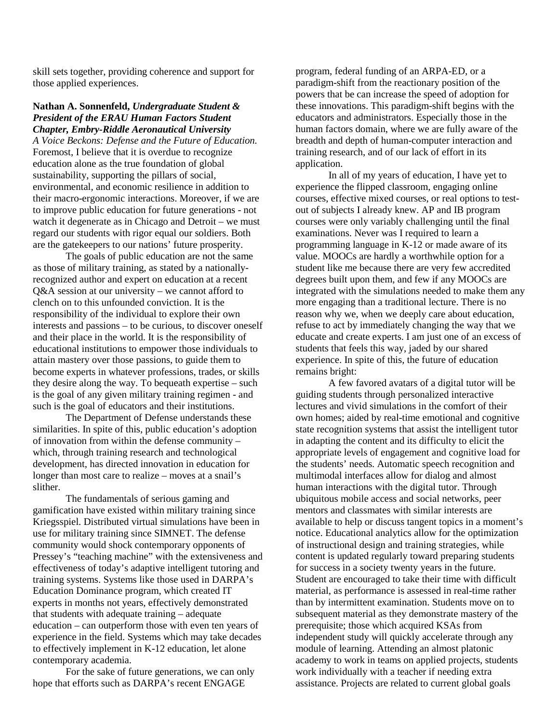skill sets together, providing coherence and support for those applied experiences.

#### **Nathan A. Sonnenfeld,** *Undergraduate Student & President of the ERAU Human Factors Student Chapter, Embry-Riddle Aeronautical University*

*A Voice Beckons: Defense and the Future of Education.* Foremost, I believe that it is overdue to recognize education alone as the true foundation of global sustainability, supporting the pillars of social, environmental, and economic resilience in addition to their macro-ergonomic interactions. Moreover, if we are to improve public education for future generations - not watch it degenerate as in Chicago and Detroit – we must regard our students with rigor equal our soldiers. Both are the gatekeepers to our nations' future prosperity.

The goals of public education are not the same as those of military training, as stated by a nationallyrecognized author and expert on education at a recent Q&A session at our university – we cannot afford to clench on to this unfounded conviction. It is the responsibility of the individual to explore their own interests and passions – to be curious, to discover oneself and their place in the world. It is the responsibility of educational institutions to empower those individuals to attain mastery over those passions, to guide them to become experts in whatever professions, trades, or skills they desire along the way. To bequeath expertise – such is the goal of any given military training regimen - and such is the goal of educators and their institutions.

The Department of Defense understands these similarities. In spite of this, public education's adoption of innovation from within the defense community – which, through training research and technological development, has directed innovation in education for longer than most care to realize – moves at a snail's slither.

The fundamentals of serious gaming and gamification have existed within military training since Kriegsspiel. Distributed virtual simulations have been in use for military training since SIMNET. The defense community would shock contemporary opponents of Pressey's "teaching machine" with the extensiveness and effectiveness of today's adaptive intelligent tutoring and training systems. Systems like those used in DARPA's Education Dominance program, which created IT experts in months not years, effectively demonstrated that students with adequate training – adequate education – can outperform those with even ten years of experience in the field. Systems which may take decades to effectively implement in K-12 education, let alone contemporary academia.

For the sake of future generations, we can only hope that efforts such as DARPA's recent ENGAGE

program, federal funding of an ARPA-ED, or a paradigm-shift from the reactionary position of the powers that be can increase the speed of adoption for these innovations. This paradigm-shift begins with the educators and administrators. Especially those in the human factors domain, where we are fully aware of the breadth and depth of human-computer interaction and training research, and of our lack of effort in its application.

In all of my years of education, I have yet to experience the flipped classroom, engaging online courses, effective mixed courses, or real options to testout of subjects I already knew. AP and IB program courses were only variably challenging until the final examinations. Never was I required to learn a programming language in K-12 or made aware of its value. MOOCs are hardly a worthwhile option for a student like me because there are very few accredited degrees built upon them, and few if any MOOCs are integrated with the simulations needed to make them any more engaging than a traditional lecture. There is no reason why we, when we deeply care about education, refuse to act by immediately changing the way that we educate and create experts. I am just one of an excess of students that feels this way, jaded by our shared experience. In spite of this, the future of education remains bright:

A few favored avatars of a digital tutor will be guiding students through personalized interactive lectures and vivid simulations in the comfort of their own homes; aided by real-time emotional and cognitive state recognition systems that assist the intelligent tutor in adapting the content and its difficulty to elicit the appropriate levels of engagement and cognitive load for the students' needs. Automatic speech recognition and multimodal interfaces allow for dialog and almost human interactions with the digital tutor. Through ubiquitous mobile access and social networks, peer mentors and classmates with similar interests are available to help or discuss tangent topics in a moment's notice. Educational analytics allow for the optimization of instructional design and training strategies, while content is updated regularly toward preparing students for success in a society twenty years in the future. Student are encouraged to take their time with difficult material, as performance is assessed in real-time rather than by intermittent examination. Students move on to subsequent material as they demonstrate mastery of the prerequisite; those which acquired KSAs from independent study will quickly accelerate through any module of learning. Attending an almost platonic academy to work in teams on applied projects, students work individually with a teacher if needing extra assistance. Projects are related to current global goals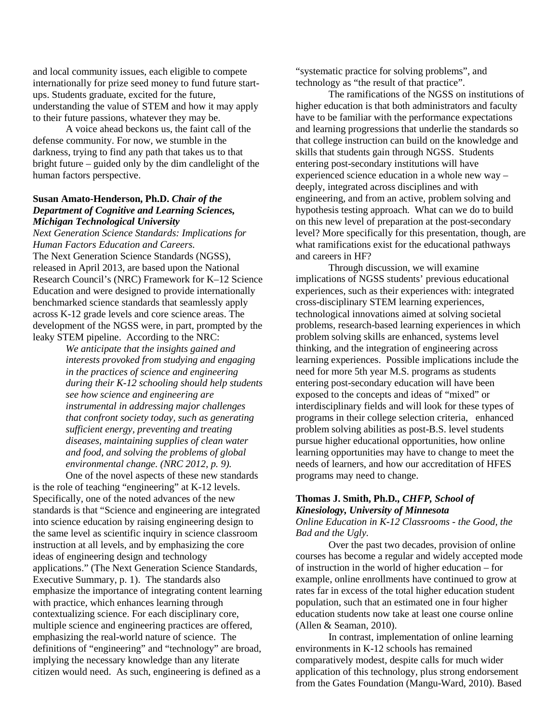and local community issues, each eligible to compete internationally for prize seed money to fund future startups. Students graduate, excited for the future, understanding the value of STEM and how it may apply to their future passions, whatever they may be.

A voice ahead beckons us, the faint call of the defense community. For now, we stumble in the darkness, trying to find any path that takes us to that bright future – guided only by the dim candlelight of the human factors perspective.

#### **Susan Amato-Henderson, Ph.D.** *Chair of the Department of Cognitive and Learning Sciences, Michigan Technological University*

*Next Generation Science Standards: Implications for Human Factors Education and Careers.* The Next Generation Science Standards (NGSS), released in April 2013, are based upon the National Research Council's (NRC) Framework for K–12 Science Education and were designed to provide internationally benchmarked science standards that seamlessly apply across K-12 grade levels and core science areas. The development of the NGSS were, in part, prompted by the leaky STEM pipeline. According to the NRC:

> *We anticipate that the insights gained and interests provoked from studying and engaging in the practices of science and engineering during their K-12 schooling should help students see how science and engineering are instrumental in addressing major challenges that confront society today, such as generating sufficient energy, preventing and treating diseases, maintaining supplies of clean water and food, and solving the problems of global environmental change. (NRC 2012, p. 9).*

One of the novel aspects of these new standards is the role of teaching "engineering" at K-12 levels. Specifically, one of the noted advances of the new standards is that "Science and engineering are integrated into science education by raising engineering design to the same level as scientific inquiry in science classroom instruction at all levels, and by emphasizing the core ideas of engineering design and technology applications." (The Next Generation Science Standards, Executive Summary, p. 1). The standards also emphasize the importance of integrating content learning with practice, which enhances learning through contextualizing science. For each disciplinary core, multiple science and engineering practices are offered, emphasizing the real-world nature of science. The definitions of "engineering" and "technology" are broad, implying the necessary knowledge than any literate citizen would need. As such, engineering is defined as a

"systematic practice for solving problems", and technology as "the result of that practice".

The ramifications of the NGSS on institutions of higher education is that both administrators and faculty have to be familiar with the performance expectations and learning progressions that underlie the standards so that college instruction can build on the knowledge and skills that students gain through NGSS. Students entering post-secondary institutions will have experienced science education in a whole new way – deeply, integrated across disciplines and with engineering, and from an active, problem solving and hypothesis testing approach. What can we do to build on this new level of preparation at the post-secondary level? More specifically for this presentation, though, are what ramifications exist for the educational pathways and careers in HF?

Through discussion, we will examine implications of NGSS students' previous educational experiences, such as their experiences with: integrated cross-disciplinary STEM learning experiences, technological innovations aimed at solving societal problems, research-based learning experiences in which problem solving skills are enhanced, systems level thinking, and the integration of engineering across learning experiences. Possible implications include the need for more 5th year M.S. programs as students entering post-secondary education will have been exposed to the concepts and ideas of "mixed" or interdisciplinary fields and will look for these types of programs in their college selection criteria, enhanced problem solving abilities as post-B.S. level students pursue higher educational opportunities, how online learning opportunities may have to change to meet the needs of learners, and how our accreditation of HFES programs may need to change.

# **Thomas J. Smith, Ph.D***., CHFP, School of Kinesiology, University of Minnesota*

*Online Education in K-12 Classrooms - the Good, the Bad and the Ugly.*

Over the past two decades, provision of online courses has become a regular and widely accepted mode of instruction in the world of higher education – for example, online enrollments have continued to grow at rates far in excess of the total higher education student population, such that an estimated one in four higher education students now take at least one course online (Allen & Seaman, 2010).

In contrast, implementation of online learning environments in K-12 schools has remained comparatively modest, despite calls for much wider application of this technology, plus strong endorsement from the Gates Foundation (Mangu-Ward, 2010). Based